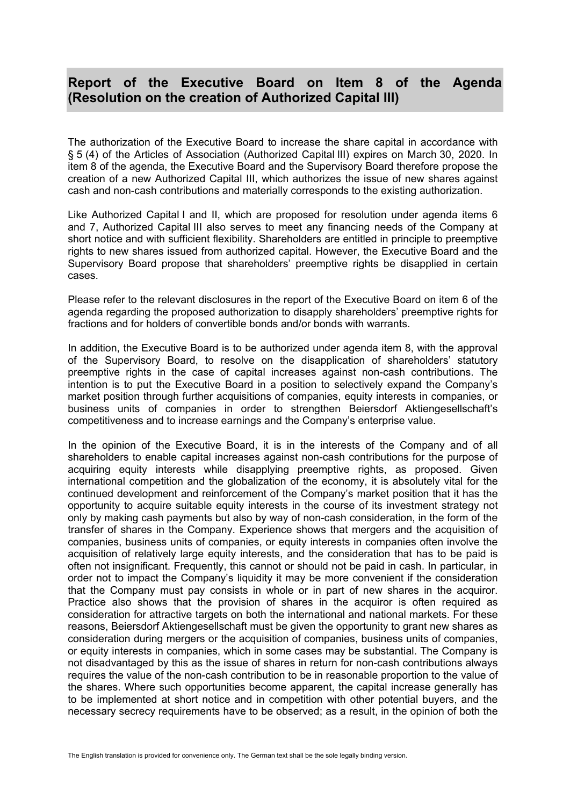## **Report of the Executive Board on Item 8 of the Agenda (Resolution on the creation of Authorized Capital III)**

The authorization of the Executive Board to increase the share capital in accordance with § 5 (4) of the Articles of Association (Authorized Capital lII) expires on March 30, 2020. In item 8 of the agenda, the Executive Board and the Supervisory Board therefore propose the creation of a new Authorized Capital III, which authorizes the issue of new shares against cash and non-cash contributions and materially corresponds to the existing authorization.

Like Authorized Capital I and II, which are proposed for resolution under agenda items 6 and 7, Authorized Capital III also serves to meet any financing needs of the Company at short notice and with sufficient flexibility. Shareholders are entitled in principle to preemptive rights to new shares issued from authorized capital. However, the Executive Board and the Supervisory Board propose that shareholders' preemptive rights be disapplied in certain cases.

Please refer to the relevant disclosures in the report of the Executive Board on item 6 of the agenda regarding the proposed authorization to disapply shareholders' preemptive rights for fractions and for holders of convertible bonds and/or bonds with warrants.

In addition, the Executive Board is to be authorized under agenda item 8, with the approval of the Supervisory Board, to resolve on the disapplication of shareholders' statutory preemptive rights in the case of capital increases against non-cash contributions. The intention is to put the Executive Board in a position to selectively expand the Company's market position through further acquisitions of companies, equity interests in companies, or business units of companies in order to strengthen Beiersdorf Aktiengesellschaft's competitiveness and to increase earnings and the Company's enterprise value.

In the opinion of the Executive Board, it is in the interests of the Company and of all shareholders to enable capital increases against non-cash contributions for the purpose of acquiring equity interests while disapplying preemptive rights, as proposed. Given international competition and the globalization of the economy, it is absolutely vital for the continued development and reinforcement of the Company's market position that it has the opportunity to acquire suitable equity interests in the course of its investment strategy not only by making cash payments but also by way of non-cash consideration, in the form of the transfer of shares in the Company. Experience shows that mergers and the acquisition of companies, business units of companies, or equity interests in companies often involve the acquisition of relatively large equity interests, and the consideration that has to be paid is often not insignificant. Frequently, this cannot or should not be paid in cash. In particular, in order not to impact the Company's liquidity it may be more convenient if the consideration that the Company must pay consists in whole or in part of new shares in the acquiror. Practice also shows that the provision of shares in the acquiror is often required as consideration for attractive targets on both the international and national markets. For these reasons, Beiersdorf Aktiengesellschaft must be given the opportunity to grant new shares as consideration during mergers or the acquisition of companies, business units of companies, or equity interests in companies, which in some cases may be substantial. The Company is not disadvantaged by this as the issue of shares in return for non-cash contributions always requires the value of the non-cash contribution to be in reasonable proportion to the value of the shares. Where such opportunities become apparent, the capital increase generally has to be implemented at short notice and in competition with other potential buyers, and the necessary secrecy requirements have to be observed; as a result, in the opinion of both the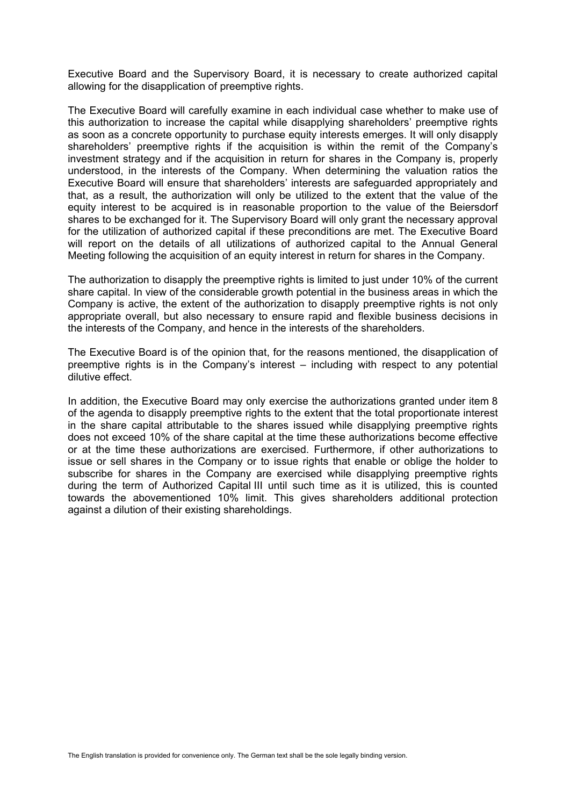Executive Board and the Supervisory Board, it is necessary to create authorized capital allowing for the disapplication of preemptive rights.

The Executive Board will carefully examine in each individual case whether to make use of this authorization to increase the capital while disapplying shareholders' preemptive rights as soon as a concrete opportunity to purchase equity interests emerges. It will only disapply shareholders' preemptive rights if the acquisition is within the remit of the Company's investment strategy and if the acquisition in return for shares in the Company is, properly understood, in the interests of the Company. When determining the valuation ratios the Executive Board will ensure that shareholders' interests are safeguarded appropriately and that, as a result, the authorization will only be utilized to the extent that the value of the equity interest to be acquired is in reasonable proportion to the value of the Beiersdorf shares to be exchanged for it. The Supervisory Board will only grant the necessary approval for the utilization of authorized capital if these preconditions are met. The Executive Board will report on the details of all utilizations of authorized capital to the Annual General Meeting following the acquisition of an equity interest in return for shares in the Company.

The authorization to disapply the preemptive rights is limited to just under 10% of the current share capital. In view of the considerable growth potential in the business areas in which the Company is active, the extent of the authorization to disapply preemptive rights is not only appropriate overall, but also necessary to ensure rapid and flexible business decisions in the interests of the Company, and hence in the interests of the shareholders.

The Executive Board is of the opinion that, for the reasons mentioned, the disapplication of preemptive rights is in the Company's interest – including with respect to any potential dilutive effect.

In addition, the Executive Board may only exercise the authorizations granted under item 8 of the agenda to disapply preemptive rights to the extent that the total proportionate interest in the share capital attributable to the shares issued while disapplying preemptive rights does not exceed 10% of the share capital at the time these authorizations become effective or at the time these authorizations are exercised. Furthermore, if other authorizations to issue or sell shares in the Company or to issue rights that enable or oblige the holder to subscribe for shares in the Company are exercised while disapplying preemptive rights during the term of Authorized Capital III until such time as it is utilized, this is counted towards the abovementioned 10% limit. This gives shareholders additional protection against a dilution of their existing shareholdings.